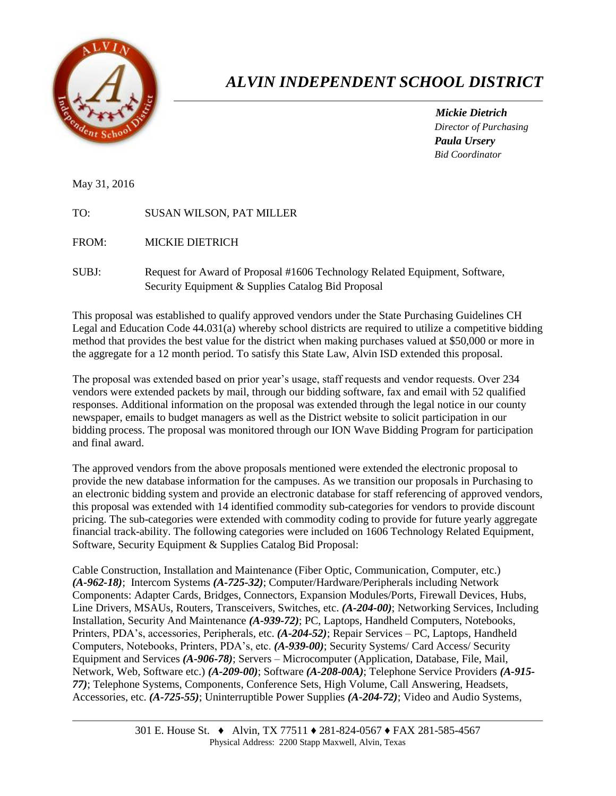

## *ALVIN INDEPENDENT SCHOOL DISTRICT*

*Mickie Dietrich Director of Purchasing Paula Ursery Bid Coordinator*

May 31, 2016

| <b>SUSAN WILSON, PAT MILLER</b> |
|---------------------------------|
|                                 |

FROM: MICKIE DIETRICH

SUBJ: Request for Award of Proposal #1606 Technology Related Equipment, Software, Security Equipment & Supplies Catalog Bid Proposal

This proposal was established to qualify approved vendors under the State Purchasing Guidelines CH Legal and Education Code 44.031(a) whereby school districts are required to utilize a competitive bidding method that provides the best value for the district when making purchases valued at \$50,000 or more in the aggregate for a 12 month period. To satisfy this State Law, Alvin ISD extended this proposal.

The proposal was extended based on prior year's usage, staff requests and vendor requests. Over 234 vendors were extended packets by mail, through our bidding software, fax and email with 52 qualified responses. Additional information on the proposal was extended through the legal notice in our county newspaper, emails to budget managers as well as the District website to solicit participation in our bidding process. The proposal was monitored through our ION Wave Bidding Program for participation and final award.

The approved vendors from the above proposals mentioned were extended the electronic proposal to provide the new database information for the campuses. As we transition our proposals in Purchasing to an electronic bidding system and provide an electronic database for staff referencing of approved vendors, this proposal was extended with 14 identified commodity sub-categories for vendors to provide discount pricing. The sub-categories were extended with commodity coding to provide for future yearly aggregate financial track-ability. The following categories were included on 1606 Technology Related Equipment, Software, Security Equipment & Supplies Catalog Bid Proposal:

Cable Construction, Installation and Maintenance (Fiber Optic, Communication, Computer, etc.) *(A-962-18)*; Intercom Systems *(A-725-32)*; Computer/Hardware/Peripherals including Network Components: Adapter Cards, Bridges, Connectors, Expansion Modules/Ports, Firewall Devices, Hubs, Line Drivers, MSAUs, Routers, Transceivers, Switches, etc. *(A-204-00)*; Networking Services, Including Installation, Security And Maintenance *(A-939-72)*; PC, Laptops, Handheld Computers, Notebooks, Printers, PDA's, accessories, Peripherals, etc. *(A-204-52)*; Repair Services – PC, Laptops, Handheld Computers, Notebooks, Printers, PDA's, etc. *(A-939-00)*; Security Systems/ Card Access/ Security Equipment and Services *(A-906-78)*; Servers – Microcomputer (Application, Database, File, Mail, Network, Web, Software etc.) *(A-209-00)*; Software *(A-208-00A)*; Telephone Service Providers *(A-915- 77)*; Telephone Systems, Components, Conference Sets, High Volume, Call Answering, Headsets, Accessories, etc. *(A-725-55)*; Uninterruptible Power Supplies *(A-204-72)*; Video and Audio Systems,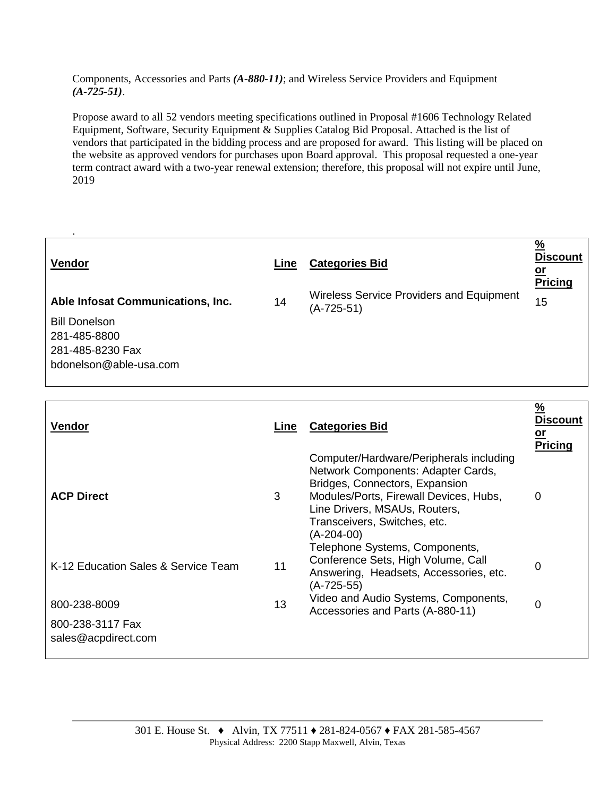Components, Accessories and Parts *(A-880-11)*; and Wireless Service Providers and Equipment *(A-725-51)*.

Propose award to all 52 vendors meeting specifications outlined in Proposal #1606 Technology Related Equipment, Software, Security Equipment & Supplies Catalog Bid Proposal. Attached is the list of vendors that participated in the bidding process and are proposed for award. This listing will be placed on the website as approved vendors for purchases upon Board approval. This proposal requested a one-year term contract award with a two-year renewal extension; therefore, this proposal will not expire until June, 2019

| Vendor                            | Line | <b>Categories Bid</b>                                         | $\frac{9}{6}$<br><b>Discount</b><br><u>or</u><br><b>Pricing</b> |
|-----------------------------------|------|---------------------------------------------------------------|-----------------------------------------------------------------|
| Able Infosat Communications, Inc. | 14   | <b>Wireless Service Providers and Equipment</b><br>(A-725-51) | 15                                                              |
| <b>Bill Donelson</b>              |      |                                                               |                                                                 |
| 281-485-8800                      |      |                                                               |                                                                 |
| 281-485-8230 Fax                  |      |                                                               |                                                                 |
| bdonelson@able-usa.com            |      |                                                               |                                                                 |
|                                   |      |                                                               |                                                                 |

| <b>Vendor</b>                           | Line | <b>Categories Bid</b>                                                                                                                                                                                                                    | $\frac{9}{6}$<br>Discount<br><u>or</u><br><b>Pricing</b> |
|-----------------------------------------|------|------------------------------------------------------------------------------------------------------------------------------------------------------------------------------------------------------------------------------------------|----------------------------------------------------------|
| <b>ACP Direct</b>                       | 3    | Computer/Hardware/Peripherals including<br>Network Components: Adapter Cards,<br>Bridges, Connectors, Expansion<br>Modules/Ports, Firewall Devices, Hubs,<br>Line Drivers, MSAUs, Routers,<br>Transceivers, Switches, etc.<br>(A-204-00) | 0                                                        |
| K-12 Education Sales & Service Team     | 11   | Telephone Systems, Components,<br>Conference Sets, High Volume, Call<br>Answering, Headsets, Accessories, etc.<br>(A-725-55)                                                                                                             | 0                                                        |
| 800-238-8009                            | 13   | Video and Audio Systems, Components,<br>Accessories and Parts (A-880-11)                                                                                                                                                                 | $\Omega$                                                 |
| 800-238-3117 Fax<br>sales@acpdirect.com |      |                                                                                                                                                                                                                                          |                                                          |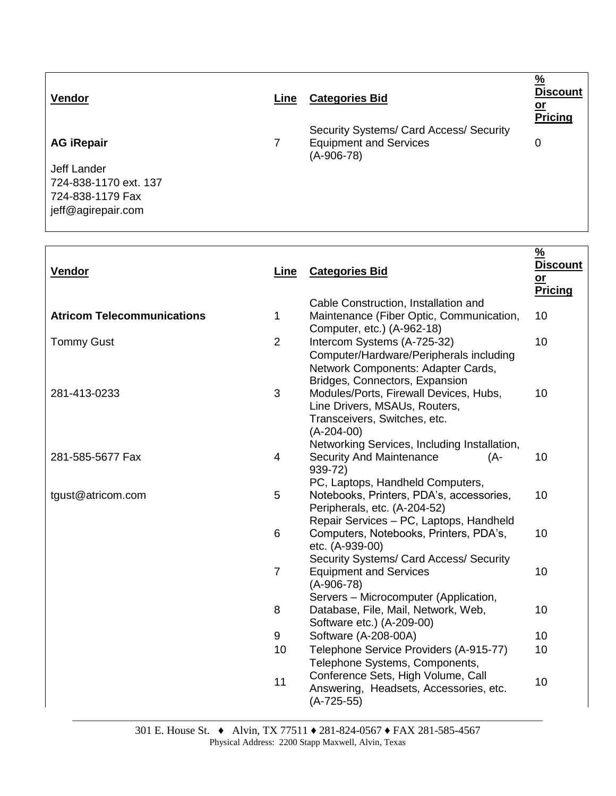| Vendor                | Line | <b>Categories Bid</b>                                                                    | $\frac{9}{6}$<br><b>Discount</b><br><u>or</u><br><b>Pricing</b> |
|-----------------------|------|------------------------------------------------------------------------------------------|-----------------------------------------------------------------|
| <b>AG iRepair</b>     |      | Security Systems/ Card Access/ Security<br><b>Equipment and Services</b><br>$(A-906-78)$ | 0                                                               |
| Jeff Lander           |      |                                                                                          |                                                                 |
| 724-838-1170 ext. 137 |      |                                                                                          |                                                                 |
| 724-838-1179 Fax      |      |                                                                                          |                                                                 |
| jeff@agirepair.com    |      |                                                                                          |                                                                 |

Г

| Vendor                            | Line                     | <b>Categories Bid</b>                                                                                                                                                   | $\frac{9}{6}$<br><b>Discount</b><br>$or$<br><b>Pricing</b> |
|-----------------------------------|--------------------------|-------------------------------------------------------------------------------------------------------------------------------------------------------------------------|------------------------------------------------------------|
| <b>Atricom Telecommunications</b> | $\mathbf 1$              | Cable Construction, Installation and<br>Maintenance (Fiber Optic, Communication,<br>Computer, etc.) (A-962-18)                                                          | 10                                                         |
| <b>Tommy Gust</b>                 | $\overline{2}$           | Intercom Systems (A-725-32)<br>Computer/Hardware/Peripherals including<br>Network Components: Adapter Cards,<br>Bridges, Connectors, Expansion                          | 10                                                         |
| 281-413-0233                      | 3                        | Modules/Ports, Firewall Devices, Hubs,<br>Line Drivers, MSAUs, Routers,<br>Transceivers, Switches, etc.<br>$(A-204-00)$<br>Networking Services, Including Installation, | 10                                                         |
| 281-585-5677 Fax                  | $\overline{\mathcal{A}}$ | <b>Security And Maintenance</b><br>(A-<br>939-72)<br>PC, Laptops, Handheld Computers,                                                                                   | 10                                                         |
| tgust@atricom.com                 | 5                        | Notebooks, Printers, PDA's, accessories,<br>Peripherals, etc. (A-204-52)<br>Repair Services - PC, Laptops, Handheld                                                     | 10                                                         |
|                                   | 6                        | Computers, Notebooks, Printers, PDA's,<br>etc. (A-939-00)<br>Security Systems/ Card Access/ Security                                                                    | 10                                                         |
|                                   | $\overline{7}$           | <b>Equipment and Services</b><br>$(A-906-78)$<br>Servers - Microcomputer (Application,                                                                                  | 10                                                         |
|                                   | 8                        | Database, File, Mail, Network, Web,<br>Software etc.) (A-209-00)                                                                                                        | 10                                                         |
|                                   | 9                        | Software (A-208-00A)                                                                                                                                                    | 10                                                         |
|                                   | 10                       | Telephone Service Providers (A-915-77)<br>Telephone Systems, Components,                                                                                                | 10                                                         |
|                                   | 11                       | Conference Sets, High Volume, Call<br>Answering, Headsets, Accessories, etc.<br>$(A-725-55)$                                                                            | 10                                                         |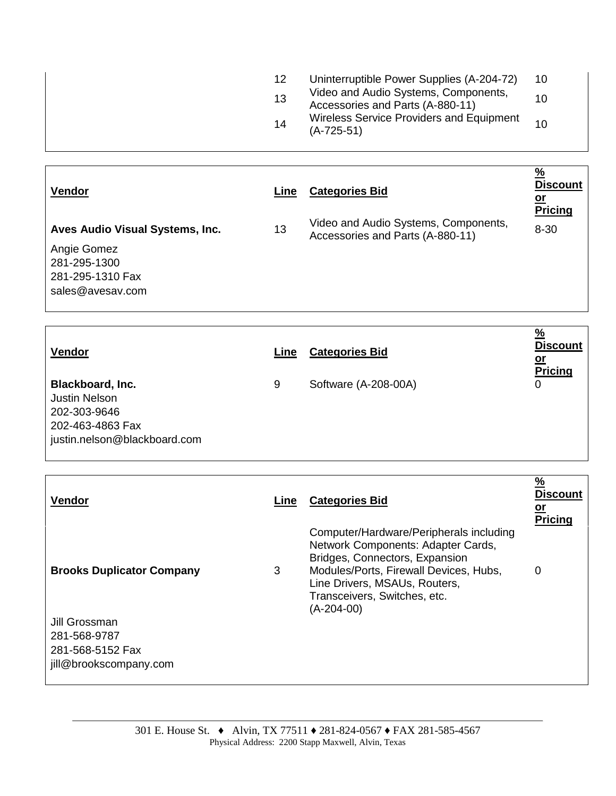| $(A-725-51)$ | Wireless Service Providers and Equipment<br>14 | Video and Audio Systems, Components,<br>13<br>10<br>Accessories and Parts (A-880-11) | Uninterruptible Power Supplies (A-204-72)<br>10 |  |
|--------------|------------------------------------------------|--------------------------------------------------------------------------------------|-------------------------------------------------|--|
|--------------|------------------------------------------------|--------------------------------------------------------------------------------------|-------------------------------------------------|--|

| Vendor                                          | Line | <b>Categories Bid</b>                                                    | $\frac{9}{6}$<br><b>Discount</b><br>--        |
|-------------------------------------------------|------|--------------------------------------------------------------------------|-----------------------------------------------|
| sales@avesav.com                                |      |                                                                          |                                               |
| Angie Gomez<br>281-295-1300<br>281-295-1310 Fax |      |                                                                          |                                               |
| Aves Audio Visual Systems, Inc.                 | 13   | Video and Audio Systems, Components,<br>Accessories and Parts (A-880-11) | <b>Pricing</b><br>$8 - 30$                    |
| Vendor                                          | Line | <b>Categories Bid</b>                                                    | $\frac{9}{6}$<br><b>Discount</b><br><u>or</u> |

| <u>Tuuvi</u>                 | ---- | <b>OUIGYOFIGO DIU</b> | <u>or</u>      |
|------------------------------|------|-----------------------|----------------|
| <b>Blackboard, Inc.</b>      | 9    | Software (A-208-00A)  | <b>Pricing</b> |
| <b>Justin Nelson</b>         |      |                       |                |
| 202-303-9646                 |      |                       |                |
| 202-463-4863 Fax             |      |                       |                |
| justin.nelson@blackboard.com |      |                       |                |

| <b>Vendor</b>                                     | Line | <b>Categories Bid</b>                                                                                                                                                                                                                      | $\frac{9}{6}$<br><b>Discount</b><br><u>or</u><br><b>Pricing</b> |
|---------------------------------------------------|------|--------------------------------------------------------------------------------------------------------------------------------------------------------------------------------------------------------------------------------------------|-----------------------------------------------------------------|
| <b>Brooks Duplicator Company</b>                  | 3    | Computer/Hardware/Peripherals including<br>Network Components: Adapter Cards,<br>Bridges, Connectors, Expansion<br>Modules/Ports, Firewall Devices, Hubs,<br>Line Drivers, MSAUs, Routers,<br>Transceivers, Switches, etc.<br>$(A-204-00)$ | 0                                                               |
| Jill Grossman<br>281-568-9787<br>281-568-5152 Fax |      |                                                                                                                                                                                                                                            |                                                                 |
| jill@brookscompany.com                            |      |                                                                                                                                                                                                                                            |                                                                 |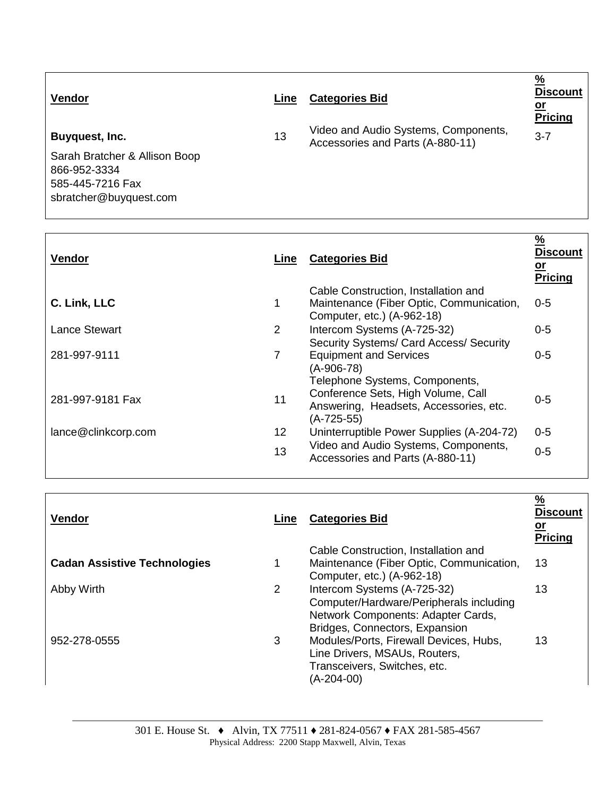| <b>Vendor</b>                                                                                                 | Line | <b>Categories Bid</b>                                                    | $\frac{9}{6}$<br><b>Discount</b><br><u>or</u><br>Pricing |
|---------------------------------------------------------------------------------------------------------------|------|--------------------------------------------------------------------------|----------------------------------------------------------|
| Buyquest, Inc.<br>Sarah Bratcher & Allison Boop<br>866-952-3334<br>585-445-7216 Fax<br>sbratcher@buyquest.com | 13   | Video and Audio Systems, Components,<br>Accessories and Parts (A-880-11) | $3 - 7$                                                  |
|                                                                                                               |      |                                                                          | $\mathbf{a}$                                             |

| <b>Vendor</b>       | Line            | <b>Categories Bid</b>                                                                        | <u>%</u><br><b>Discount</b><br><u>or</u><br><b>Pricing</b> |
|---------------------|-----------------|----------------------------------------------------------------------------------------------|------------------------------------------------------------|
|                     |                 | Cable Construction, Installation and                                                         |                                                            |
| C. Link, LLC        | 1               | Maintenance (Fiber Optic, Communication,<br>Computer, etc.) (A-962-18)                       | $0 - 5$                                                    |
| Lance Stewart       | $\overline{2}$  | Intercom Systems (A-725-32)                                                                  | $0 - 5$                                                    |
|                     |                 | Security Systems/ Card Access/ Security                                                      |                                                            |
| 281-997-9111        | $\overline{7}$  | <b>Equipment and Services</b><br>$(A-906-78)$                                                | $0 - 5$                                                    |
|                     |                 | Telephone Systems, Components,                                                               |                                                            |
| 281-997-9181 Fax    | 11              | Conference Sets, High Volume, Call<br>Answering, Headsets, Accessories, etc.<br>$(A-725-55)$ | $0-5$                                                      |
| lance@clinkcorp.com | 12 <sub>2</sub> | Uninterruptible Power Supplies (A-204-72)                                                    | $0 - 5$                                                    |
|                     | 13              | Video and Audio Systems, Components,<br>Accessories and Parts (A-880-11)                     | $0 - 5$                                                    |
|                     |                 |                                                                                              |                                                            |

| Vendor                              | Line | <b>Categories Bid</b>                                                                                                                          | $\frac{9}{6}$<br><b>Discount</b><br><u>or</u><br><b>Pricing</b> |
|-------------------------------------|------|------------------------------------------------------------------------------------------------------------------------------------------------|-----------------------------------------------------------------|
|                                     |      | Cable Construction, Installation and                                                                                                           |                                                                 |
| <b>Cadan Assistive Technologies</b> |      | Maintenance (Fiber Optic, Communication,<br>Computer, etc.) (A-962-18)                                                                         | 13                                                              |
| Abby Wirth                          | 2    | Intercom Systems (A-725-32)<br>Computer/Hardware/Peripherals including<br>Network Components: Adapter Cards,<br>Bridges, Connectors, Expansion | 13                                                              |
| 952-278-0555                        | 3    | Modules/Ports, Firewall Devices, Hubs,<br>Line Drivers, MSAUs, Routers,<br>Transceivers, Switches, etc.<br>(A-204-00)                          | 13                                                              |

<u> 1989 - Andrea Santa Alemania, amerikana amerikana amerikana amerikana amerikana amerikana amerikana amerikan</u>

 $\overline{\Gamma}$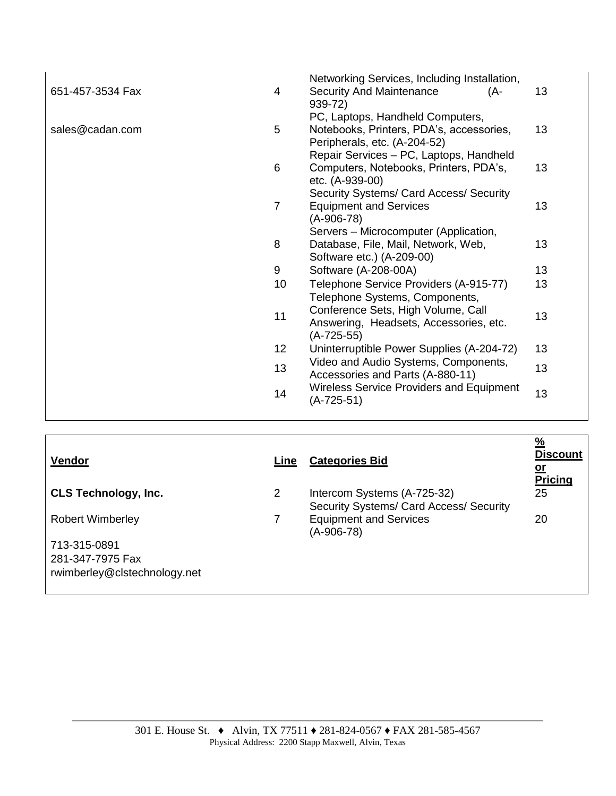| 13 |
|----|
| 13 |
| 13 |
| 13 |
| 13 |
| 13 |
| 13 |
| 13 |
| 13 |
| 13 |
|    |

| <b>Vendor</b>                | Line           | <b>Categories Bid</b>                                                  | <u>%</u><br><b>Discount</b><br><u>or</u><br>Pricing |
|------------------------------|----------------|------------------------------------------------------------------------|-----------------------------------------------------|
| <b>CLS Technology, Inc.</b>  | $\overline{2}$ | Intercom Systems (A-725-32)<br>Security Systems/ Card Access/ Security | 25                                                  |
| <b>Robert Wimberley</b>      |                | <b>Equipment and Services</b><br>(A-906-78)                            | 20                                                  |
| 713-315-0891                 |                |                                                                        |                                                     |
| 281-347-7975 Fax             |                |                                                                        |                                                     |
| rwimberley@clstechnology.net |                |                                                                        |                                                     |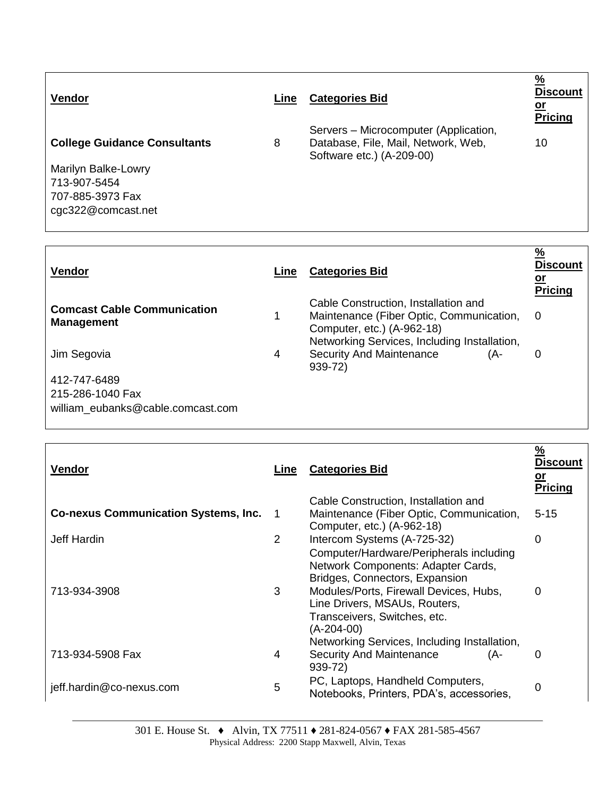| <b>Vendor</b>                       | Line | <b>Categories Bid</b>                                                                                     | $\frac{9}{6}$<br><b>Discount</b><br><u>or</u><br>Pricing |
|-------------------------------------|------|-----------------------------------------------------------------------------------------------------------|----------------------------------------------------------|
| <b>College Guidance Consultants</b> | 8    | Servers – Microcomputer (Application,<br>Database, File, Mail, Network, Web,<br>Software etc.) (A-209-00) | 10                                                       |
| Marilyn Balke-Lowry                 |      |                                                                                                           |                                                          |
| 713-907-5454                        |      |                                                                                                           |                                                          |
| 707-885-3973 Fax                    |      |                                                                                                           |                                                          |
| cgc322@comcast.net                  |      |                                                                                                           |                                                          |
|                                     |      |                                                                                                           |                                                          |

| <b>Vendor</b>                                           | Line | <b>Categories Bid</b>                                                                                                                                          | $\frac{9}{6}$<br><b>Discount</b><br><u>or</u><br><b>Pricing</b> |
|---------------------------------------------------------|------|----------------------------------------------------------------------------------------------------------------------------------------------------------------|-----------------------------------------------------------------|
| <b>Comcast Cable Communication</b><br><b>Management</b> | 1    | Cable Construction, Installation and<br>Maintenance (Fiber Optic, Communication,<br>Computer, etc.) (A-962-18)<br>Networking Services, Including Installation, | 0                                                               |
| Jim Segovia                                             | 4    | <b>Security And Maintenance</b><br>(A-<br>$939 - 72$                                                                                                           | 0                                                               |
| 412-747-6489                                            |      |                                                                                                                                                                |                                                                 |
| 215-286-1040 Fax<br>william eubanks@cable.comcast.com   |      |                                                                                                                                                                |                                                                 |

| Vendor                                      | Line           | <b>Categories Bid</b>                                                        | $\frac{9}{6}$<br><b>Discount</b><br><u>or</u><br><b>Pricing</b> |
|---------------------------------------------|----------------|------------------------------------------------------------------------------|-----------------------------------------------------------------|
|                                             |                | Cable Construction, Installation and                                         |                                                                 |
| <b>Co-nexus Communication Systems, Inc.</b> | $\overline{1}$ | Maintenance (Fiber Optic, Communication,                                     | $5 - 15$                                                        |
|                                             |                | Computer, etc.) (A-962-18)                                                   |                                                                 |
| Jeff Hardin                                 | 2              | Intercom Systems (A-725-32)                                                  | 0                                                               |
|                                             |                | Computer/Hardware/Peripherals including                                      |                                                                 |
|                                             |                | Network Components: Adapter Cards,                                           |                                                                 |
| 713-934-3908                                | 3              | Bridges, Connectors, Expansion<br>Modules/Ports, Firewall Devices, Hubs,     | $\Omega$                                                        |
|                                             |                | Line Drivers, MSAUs, Routers,<br>Transceivers, Switches, etc.                |                                                                 |
|                                             |                | (A-204-00)                                                                   |                                                                 |
|                                             |                | Networking Services, Including Installation,                                 |                                                                 |
| 713-934-5908 Fax                            | 4              | <b>Security And Maintenance</b><br>(A-<br>939-72)                            | 0                                                               |
| jeff.hardin@co-nexus.com                    | 5              | PC, Laptops, Handheld Computers,<br>Notebooks, Printers, PDA's, accessories, | 0                                                               |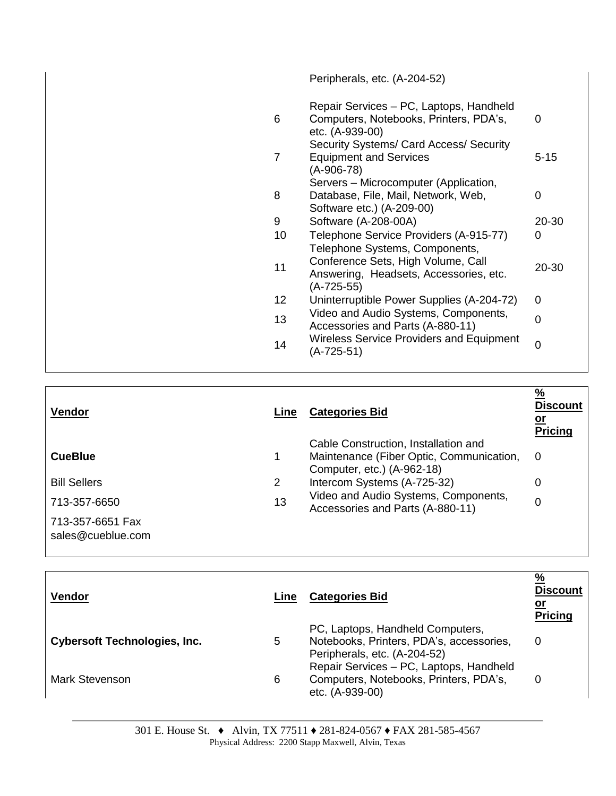|                | Peripherals, etc. (A-204-52)                                                                              |                |
|----------------|-----------------------------------------------------------------------------------------------------------|----------------|
| 6              | Repair Services - PC, Laptops, Handheld<br>Computers, Notebooks, Printers, PDA's,<br>etc. (A-939-00)      | 0              |
| $\overline{7}$ | Security Systems/ Card Access/ Security<br><b>Equipment and Services</b><br>(A-906-78)                    | $5 - 15$       |
| 8              | Servers – Microcomputer (Application,<br>Database, File, Mail, Network, Web,<br>Software etc.) (A-209-00) | 0              |
| 9              | Software (A-208-00A)                                                                                      | 20-30          |
| 10             | Telephone Service Providers (A-915-77)<br>Telephone Systems, Components,                                  | 0              |
| 11             | Conference Sets, High Volume, Call<br>Answering, Headsets, Accessories, etc.<br>$(A-725-55)$              | 20-30          |
| 12             | Uninterruptible Power Supplies (A-204-72)                                                                 | 0              |
| 13             | Video and Audio Systems, Components,<br>Accessories and Parts (A-880-11)                                  | $\overline{0}$ |
| 14             | <b>Wireless Service Providers and Equipment</b><br>$(A-725-51)$                                           | $\mathbf 0$    |
|                |                                                                                                           |                |

| <b>Vendor</b>                                         | Line | <b>Categories Bid</b>                                                                                          | $\frac{9}{6}$<br><b>Discount</b><br><u>or</u><br>Pricing |
|-------------------------------------------------------|------|----------------------------------------------------------------------------------------------------------------|----------------------------------------------------------|
| <b>CueBlue</b>                                        |      | Cable Construction, Installation and<br>Maintenance (Fiber Optic, Communication,<br>Computer, etc.) (A-962-18) | $\Omega$                                                 |
| <b>Bill Sellers</b>                                   | 2    | Intercom Systems (A-725-32)                                                                                    | 0                                                        |
| 713-357-6650<br>713-357-6651 Fax<br>sales@cueblue.com | 13   | Video and Audio Systems, Components,<br>Accessories and Parts (A-880-11)                                       | 0                                                        |

| <b>Vendor</b>                       | Line | <b>Categories Bid</b>                                                                                        | $\frac{9}{6}$<br><b>Discount</b><br><u>or</u><br><b>Pricing</b> |
|-------------------------------------|------|--------------------------------------------------------------------------------------------------------------|-----------------------------------------------------------------|
| <b>Cybersoft Technologies, Inc.</b> | 5    | PC, Laptops, Handheld Computers,<br>Notebooks, Printers, PDA's, accessories,<br>Peripherals, etc. (A-204-52) | 0                                                               |
| Mark Stevenson                      | 6    | Repair Services - PC, Laptops, Handheld<br>Computers, Notebooks, Printers, PDA's,<br>etc. (A-939-00)         | 0                                                               |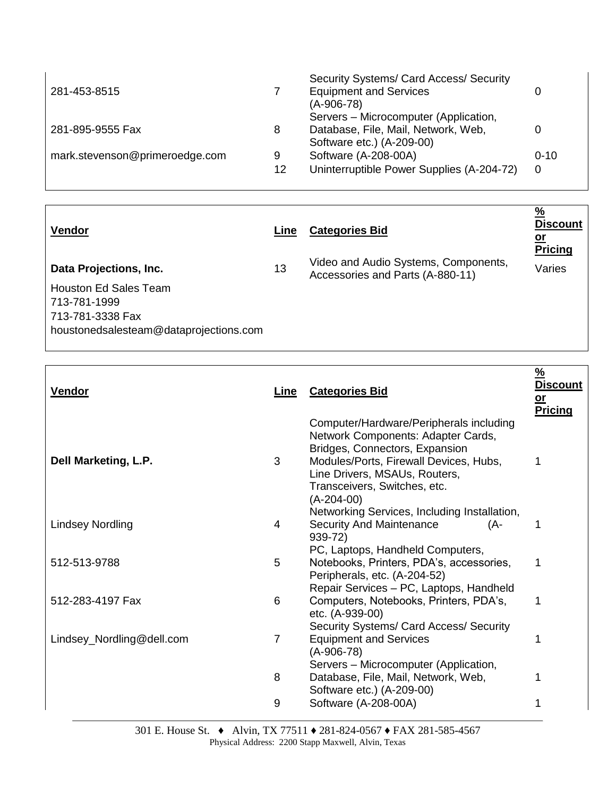|    | Security Systems/ Card Access/ Security   |          |
|----|-------------------------------------------|----------|
|    | <b>Equipment and Services</b>             |          |
|    | $(A-906-78)$                              |          |
|    | Servers - Microcomputer (Application,     |          |
| 8  | Database, File, Mail, Network, Web,       |          |
|    | Software etc.) (A-209-00)                 |          |
| 9  | Software (A-208-00A)                      | $0 - 10$ |
| 12 | Uninterruptible Power Supplies (A-204-72) | 0        |
|    |                                           |          |

| <b>Vendor</b>                                                                                                                 | Line | <b>Categories Bid</b>                                                    | $\frac{9}{6}$<br><b>Discount</b><br><u>or</u><br>Pricing |
|-------------------------------------------------------------------------------------------------------------------------------|------|--------------------------------------------------------------------------|----------------------------------------------------------|
| Data Projections, Inc.<br>Houston Ed Sales Team<br>713-781-1999<br>713-781-3338 Fax<br>houstonedsalesteam@dataprojections.com | 13   | Video and Audio Systems, Components,<br>Accessories and Parts (A-880-11) | Varies                                                   |

| <b>Vendor</b>             | Line | <b>Categories Bid</b>                                                                                                                                                                                                                      | $\frac{9}{6}$<br><b>Discount</b><br>$or$<br><b>Pricing</b> |
|---------------------------|------|--------------------------------------------------------------------------------------------------------------------------------------------------------------------------------------------------------------------------------------------|------------------------------------------------------------|
| Dell Marketing, L.P.      | 3    | Computer/Hardware/Peripherals including<br>Network Components: Adapter Cards,<br>Bridges, Connectors, Expansion<br>Modules/Ports, Firewall Devices, Hubs,<br>Line Drivers, MSAUs, Routers,<br>Transceivers, Switches, etc.<br>$(A-204-00)$ | 1                                                          |
| <b>Lindsey Nordling</b>   | 4    | Networking Services, Including Installation,<br><b>Security And Maintenance</b><br>(A-<br>939-72)                                                                                                                                          | 1                                                          |
| 512-513-9788              | 5    | PC, Laptops, Handheld Computers,<br>Notebooks, Printers, PDA's, accessories,<br>Peripherals, etc. (A-204-52)                                                                                                                               | 1                                                          |
| 512-283-4197 Fax          | 6    | Repair Services - PC, Laptops, Handheld<br>Computers, Notebooks, Printers, PDA's,<br>etc. (A-939-00)                                                                                                                                       | 1                                                          |
| Lindsey_Nordling@dell.com | 7    | Security Systems/ Card Access/ Security<br><b>Equipment and Services</b><br>(A-906-78)                                                                                                                                                     | 1                                                          |
|                           | 8    | Servers - Microcomputer (Application,<br>Database, File, Mail, Network, Web,<br>Software etc.) (A-209-00)                                                                                                                                  | 1                                                          |
|                           | 9    | Software (A-208-00A)                                                                                                                                                                                                                       | 1                                                          |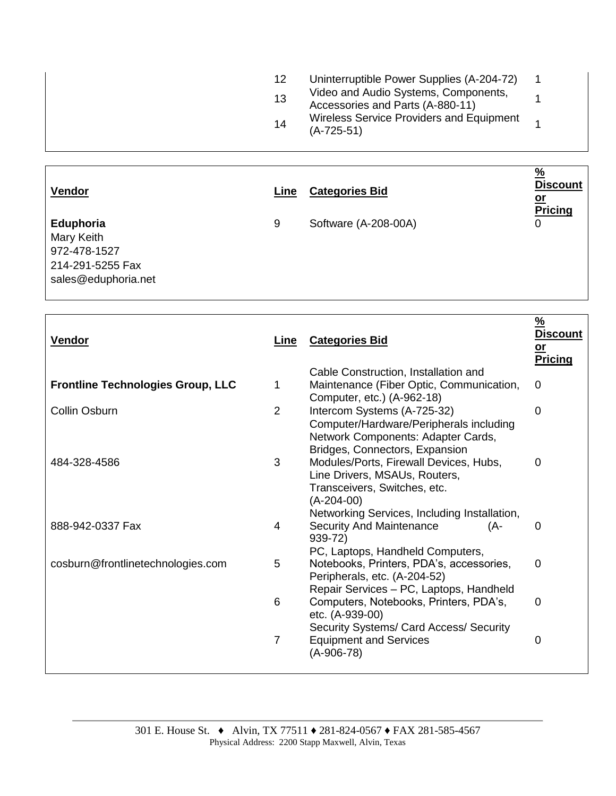| 12 <sup>°</sup> | Uninterruptible Power Supplies (A-204-72)                                |  |
|-----------------|--------------------------------------------------------------------------|--|
| 13              | Video and Audio Systems, Components,<br>Accessories and Parts (A-880-11) |  |
| 14              | <b>Wireless Service Providers and Equipment</b><br>$(A-725-51)$          |  |

| Vendor                                                                             | Line | <b>Categories Bid</b> | $\frac{9}{6}$<br><b>Discount</b><br><u>or</u><br><b>Pricing</b> |
|------------------------------------------------------------------------------------|------|-----------------------|-----------------------------------------------------------------|
| Eduphoria<br>Mary Keith<br>972-478-1527<br>214-291-5255 Fax<br>sales@eduphoria.net | 9    | Software (A-208-00A)  | 0                                                               |

| <b>Vendor</b>                            | Line           | <b>Categories Bid</b>                                                                                                                          | $\frac{9}{6}$<br><b>Discount</b><br>$or$<br><b>Pricing</b> |
|------------------------------------------|----------------|------------------------------------------------------------------------------------------------------------------------------------------------|------------------------------------------------------------|
| <b>Frontline Technologies Group, LLC</b> | 1              | Cable Construction, Installation and<br>Maintenance (Fiber Optic, Communication,<br>Computer, etc.) (A-962-18)                                 | 0                                                          |
| Collin Osburn                            | $\overline{2}$ | Intercom Systems (A-725-32)<br>Computer/Hardware/Peripherals including<br>Network Components: Adapter Cards,<br>Bridges, Connectors, Expansion | $\overline{0}$                                             |
| 484-328-4586                             | 3              | Modules/Ports, Firewall Devices, Hubs,<br>Line Drivers, MSAUs, Routers,<br>Transceivers, Switches, etc.<br>$(A-204-00)$                        | 0                                                          |
| 888-942-0337 Fax                         | 4              | Networking Services, Including Installation,<br><b>Security And Maintenance</b><br>(A-<br>939-72)<br>PC, Laptops, Handheld Computers,          | 0                                                          |
| cosburn@frontlinetechnologies.com        | 5              | Notebooks, Printers, PDA's, accessories,<br>Peripherals, etc. (A-204-52)<br>Repair Services - PC, Laptops, Handheld                            | $\overline{0}$                                             |
|                                          | 6              | Computers, Notebooks, Printers, PDA's,<br>etc. (A-939-00)<br>Security Systems/ Card Access/ Security                                           | $\overline{0}$                                             |
|                                          | $\overline{7}$ | <b>Equipment and Services</b><br>$(A-906-78)$                                                                                                  | 0                                                          |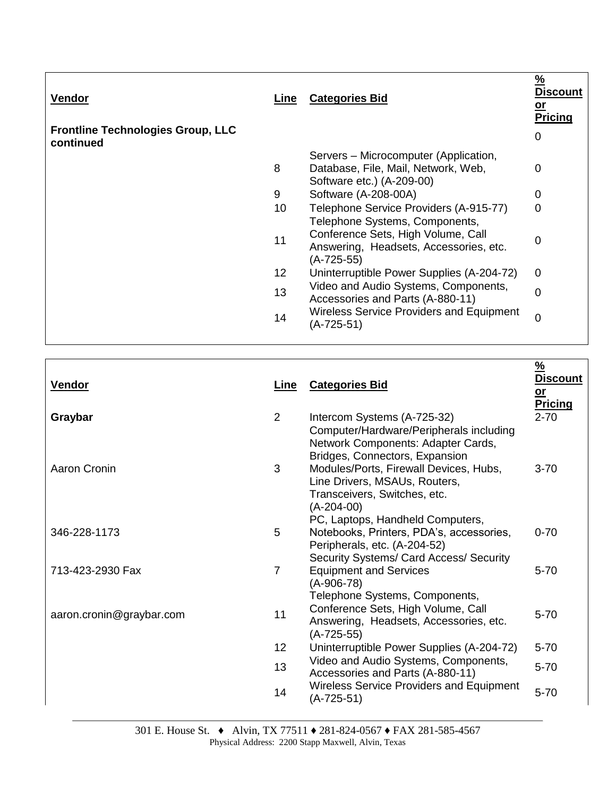| <b>Vendor</b>                                         | <u>Line</u>     | <b>Categories Bid</b>                                                                                     | $\frac{9}{6}$<br>Discount<br><u>or</u><br><b>Pricing</b> |
|-------------------------------------------------------|-----------------|-----------------------------------------------------------------------------------------------------------|----------------------------------------------------------|
| <b>Frontline Technologies Group, LLC</b><br>continued |                 |                                                                                                           | 0                                                        |
|                                                       | 8               | Servers – Microcomputer (Application,<br>Database, File, Mail, Network, Web,<br>Software etc.) (A-209-00) | 0                                                        |
|                                                       | 9               | Software (A-208-00A)                                                                                      | 0                                                        |
|                                                       | 10              | Telephone Service Providers (A-915-77)<br>Telephone Systems, Components,                                  | $\overline{0}$                                           |
|                                                       | 11              | Conference Sets, High Volume, Call<br>Answering, Headsets, Accessories, etc.<br>$(A-725-55)$              | 0                                                        |
|                                                       | 12 <sub>2</sub> | Uninterruptible Power Supplies (A-204-72)                                                                 | $\Omega$                                                 |
|                                                       | 13              | Video and Audio Systems, Components,<br>Accessories and Parts (A-880-11)                                  | 0                                                        |
|                                                       | 14              | <b>Wireless Service Providers and Equipment</b><br>(A-725-51)                                             | $\overline{0}$                                           |

 $\overline{\Gamma}$ 

| <b>Vendor</b>            | Line           | <b>Categories Bid</b>                                                                                                                                   | $\frac{9}{6}$<br><b>Discount</b><br>$or$<br><b>Pricing</b> |
|--------------------------|----------------|---------------------------------------------------------------------------------------------------------------------------------------------------------|------------------------------------------------------------|
| Graybar                  | 2              | Intercom Systems (A-725-32)<br>Computer/Hardware/Peripherals including<br>Network Components: Adapter Cards,<br>Bridges, Connectors, Expansion          | $2 - 70$                                                   |
| Aaron Cronin             | 3              | Modules/Ports, Firewall Devices, Hubs,<br>Line Drivers, MSAUs, Routers,<br>Transceivers, Switches, etc.<br>$(A-204-00)$                                 | $3 - 70$                                                   |
| 346-228-1173             | 5              | PC, Laptops, Handheld Computers,<br>Notebooks, Printers, PDA's, accessories,<br>Peripherals, etc. (A-204-52)<br>Security Systems/ Card Access/ Security | $0 - 70$                                                   |
| 713-423-2930 Fax         | $\overline{7}$ | <b>Equipment and Services</b><br>$(A-906-78)$<br>Telephone Systems, Components,                                                                         | $5 - 70$                                                   |
| aaron.cronin@graybar.com | 11             | Conference Sets, High Volume, Call<br>Answering, Headsets, Accessories, etc.<br>$(A-725-55)$                                                            | $5 - 70$                                                   |
|                          | 12             | Uninterruptible Power Supplies (A-204-72)                                                                                                               | $5 - 70$                                                   |
|                          | 13             | Video and Audio Systems, Components,<br>Accessories and Parts (A-880-11)                                                                                | $5 - 70$                                                   |
|                          | 14             | <b>Wireless Service Providers and Equipment</b><br>$(A-725-51)$                                                                                         | $5 - 70$                                                   |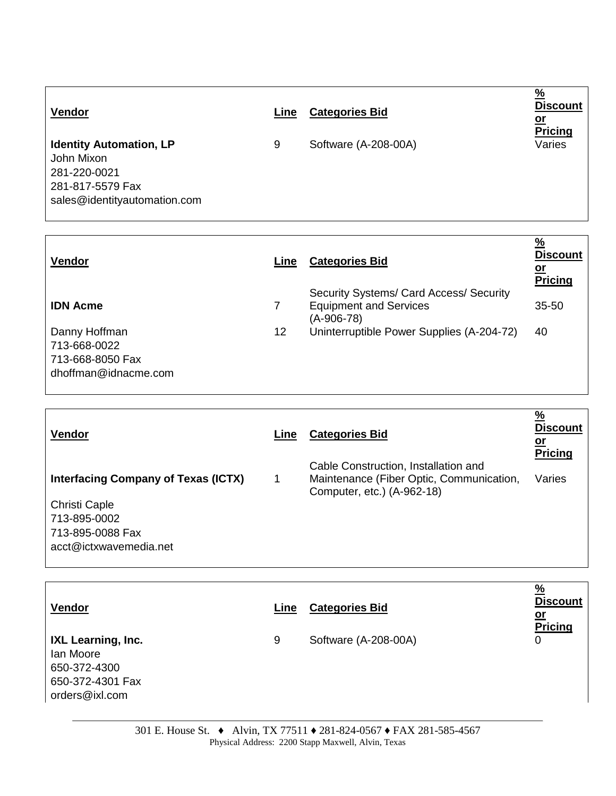| Vendor                                                                                                           | Line | <b>Categories Bid</b> | $\frac{0}{0}$<br><b>Discount</b><br><u>or</u><br><b>Pricing</b> |
|------------------------------------------------------------------------------------------------------------------|------|-----------------------|-----------------------------------------------------------------|
| <b>Identity Automation, LP</b><br>John Mixon<br>281-220-0021<br>281-817-5579 Fax<br>sales@identityautomation.com | 9    | Software (A-208-00A)  | Varies                                                          |

| <b>Vendor</b>                                                             | Line | <b>Categories Bid</b>                                                                  | $\frac{9}{6}$<br><b>Discount</b><br><u>or</u><br>Pricing |
|---------------------------------------------------------------------------|------|----------------------------------------------------------------------------------------|----------------------------------------------------------|
| <b>IDN Acme</b>                                                           | 7    | Security Systems/ Card Access/ Security<br><b>Equipment and Services</b><br>(A-906-78) | $35 - 50$                                                |
| Danny Hoffman<br>713-668-0022<br>713-668-8050 Fax<br>dhoffman@idnacme.com | 12   | Uninterruptible Power Supplies (A-204-72)                                              | 40                                                       |

| <b>Vendor</b>                                              | Line | <b>Categories Bid</b>                                                                                          | $\frac{9}{6}$<br><b>Discount</b><br><u>or</u><br><b>Pricing</b> |
|------------------------------------------------------------|------|----------------------------------------------------------------------------------------------------------------|-----------------------------------------------------------------|
| <b>Interfacing Company of Texas (ICTX)</b>                 |      | Cable Construction, Installation and<br>Maintenance (Fiber Optic, Communication,<br>Computer, etc.) (A-962-18) | Varies                                                          |
| Christi Caple                                              |      |                                                                                                                |                                                                 |
| 713-895-0002<br>713-895-0088 Fax<br>acct@ictxwavemedia.net |      |                                                                                                                |                                                                 |

| Vendor                                                                                | Line | <b>Categories Bid</b> | $\frac{9}{6}$<br><b>Discount</b><br><u>or</u><br><b>Pricing</b> |
|---------------------------------------------------------------------------------------|------|-----------------------|-----------------------------------------------------------------|
| IXL Learning, Inc.<br>lan Moore<br>650-372-4300<br>650-372-4301 Fax<br>orders@ixl.com | 9    | Software (A-208-00A)  | 0                                                               |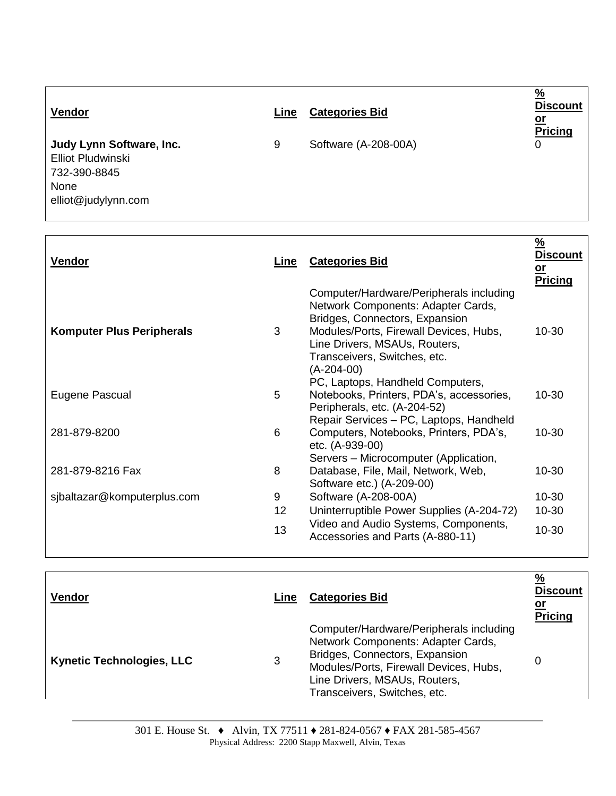| Vendor                                                                                              | Line | <b>Categories Bid</b> | $\%$<br><b>Discount</b><br>or<br><b>Pricing</b> |
|-----------------------------------------------------------------------------------------------------|------|-----------------------|-------------------------------------------------|
| Judy Lynn Software, Inc.<br><b>Elliot Pludwinski</b><br>732-390-8845<br>None<br>elliot@judylynn.com | 9    | Software (A-208-00A)  | 0                                               |

| <b>Vendor</b>                    | Line | <b>Categories Bid</b>                                                                                                                                                                                                                      | <u>%</u><br>Discount<br><u>or</u><br><b>Pricing</b> |
|----------------------------------|------|--------------------------------------------------------------------------------------------------------------------------------------------------------------------------------------------------------------------------------------------|-----------------------------------------------------|
| <b>Komputer Plus Peripherals</b> | 3    | Computer/Hardware/Peripherals including<br>Network Components: Adapter Cards,<br>Bridges, Connectors, Expansion<br>Modules/Ports, Firewall Devices, Hubs,<br>Line Drivers, MSAUs, Routers,<br>Transceivers, Switches, etc.<br>$(A-204-00)$ | 10-30                                               |
| Eugene Pascual                   | 5    | PC, Laptops, Handheld Computers,<br>Notebooks, Printers, PDA's, accessories,<br>Peripherals, etc. (A-204-52)                                                                                                                               | 10-30                                               |
| 281-879-8200                     | 6    | Repair Services - PC, Laptops, Handheld<br>Computers, Notebooks, Printers, PDA's,<br>etc. (A-939-00)                                                                                                                                       | 10-30                                               |
| 281-879-8216 Fax                 | 8    | Servers - Microcomputer (Application,<br>Database, File, Mail, Network, Web,<br>Software etc.) (A-209-00)                                                                                                                                  | 10-30                                               |
| sjbaltazar@komputerplus.com      | 9    | Software (A-208-00A)                                                                                                                                                                                                                       | $10 - 30$                                           |
|                                  | 12   | Uninterruptible Power Supplies (A-204-72)                                                                                                                                                                                                  | 10-30                                               |
|                                  | 13   | Video and Audio Systems, Components,<br>Accessories and Parts (A-880-11)                                                                                                                                                                   | 10-30                                               |

| <b>Vendor</b>                    | Line | <b>Categories Bid</b>                                                                                                                                                                                                      | $\frac{9}{6}$<br><b>Discount</b><br><u>or</u><br><b>Pricing</b> |
|----------------------------------|------|----------------------------------------------------------------------------------------------------------------------------------------------------------------------------------------------------------------------------|-----------------------------------------------------------------|
| <b>Kynetic Technologies, LLC</b> | 3    | Computer/Hardware/Peripherals including<br>Network Components: Adapter Cards,<br>Bridges, Connectors, Expansion<br>Modules/Ports, Firewall Devices, Hubs,<br>Line Drivers, MSAUs, Routers,<br>Transceivers, Switches, etc. | 0                                                               |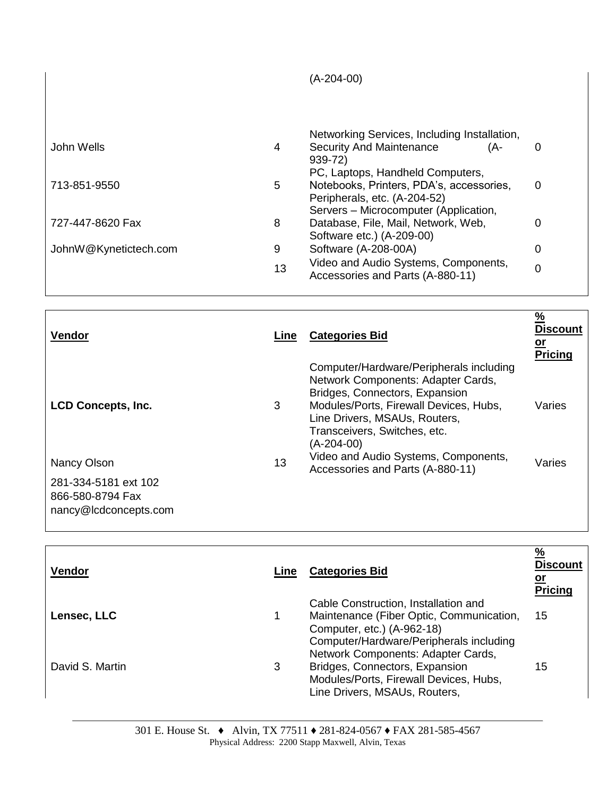|                       |    | $(A-204-00)$                                                             |   |
|-----------------------|----|--------------------------------------------------------------------------|---|
|                       |    |                                                                          |   |
|                       |    | Networking Services, Including Installation,                             |   |
| John Wells            | 4  | <b>Security And Maintenance</b><br>(A-<br>$939 - 72$                     | 0 |
|                       |    | PC, Laptops, Handheld Computers,                                         |   |
| 713-851-9550          | 5  | Notebooks, Printers, PDA's, accessories,<br>Peripherals, etc. (A-204-52) | 0 |
|                       |    | Servers - Microcomputer (Application,                                    |   |
| 727-447-8620 Fax      | 8  | Database, File, Mail, Network, Web,<br>Software etc.) (A-209-00)         | 0 |
| JohnW@Kynetictech.com | 9  | Software (A-208-00A)                                                     | 0 |
|                       | 13 | Video and Audio Systems, Components,<br>Accessories and Parts (A-880-11) | 0 |

| $\frac{9}{6}$<br><b>Discount</b><br><u>or</u><br><b>Pricing</b> |
|-----------------------------------------------------------------|
| Varies                                                          |
| Varies                                                          |
|                                                                 |
|                                                                 |

| <b>Vendor</b>   | Line | <b>Categories Bid</b>                                                                                                                                     | $\frac{9}{6}$<br><b>Discount</b><br><u>or</u><br><b>Pricing</b> |
|-----------------|------|-----------------------------------------------------------------------------------------------------------------------------------------------------------|-----------------------------------------------------------------|
| Lensec, LLC     |      | Cable Construction, Installation and<br>Maintenance (Fiber Optic, Communication,<br>Computer, etc.) (A-962-18)<br>Computer/Hardware/Peripherals including | 15                                                              |
| David S. Martin | 3    | Network Components: Adapter Cards,<br>Bridges, Connectors, Expansion<br>Modules/Ports, Firewall Devices, Hubs,<br>Line Drivers, MSAUs, Routers,           | 15                                                              |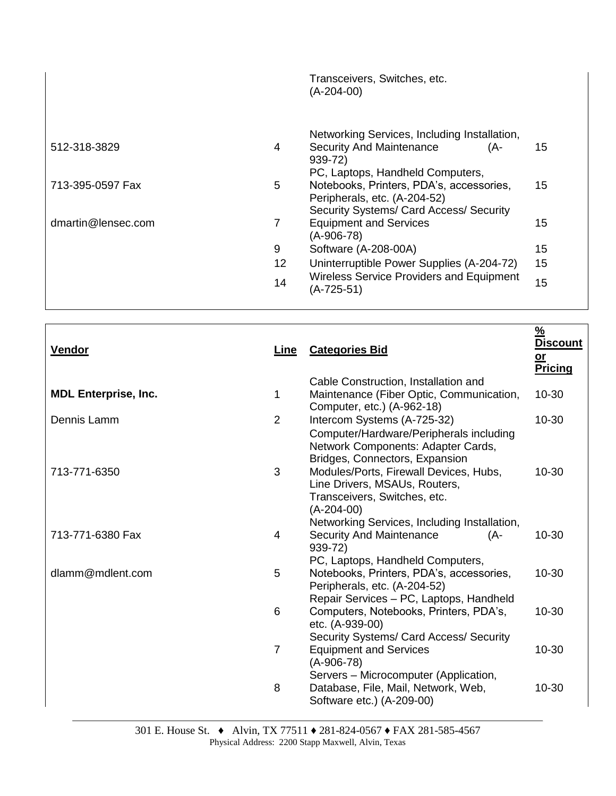|                    |    | Transceivers, Switches, etc.<br>$(A-204-00)$                                                                 |    |
|--------------------|----|--------------------------------------------------------------------------------------------------------------|----|
| 512-318-3829       | 4  | Networking Services, Including Installation,<br><b>Security And Maintenance</b><br>(A-<br>939-72)            | 15 |
| 713-395-0597 Fax   | 5  | PC, Laptops, Handheld Computers,<br>Notebooks, Printers, PDA's, accessories,<br>Peripherals, etc. (A-204-52) | 15 |
| dmartin@lensec.com | 7  | Security Systems/ Card Access/ Security<br><b>Equipment and Services</b><br>$(A-906-78)$                     | 15 |
|                    | 9  | Software (A-208-00A)                                                                                         | 15 |
|                    | 12 | Uninterruptible Power Supplies (A-204-72)                                                                    | 15 |
|                    | 14 | <b>Wireless Service Providers and Equipment</b><br>$(A-725-51)$                                              | 15 |

| <b>Vendor</b>               | Line           | <b>Categories Bid</b>                                                                                                                                                   | $\frac{9}{6}$<br><b>Discount</b><br>$or$<br><b>Pricing</b> |
|-----------------------------|----------------|-------------------------------------------------------------------------------------------------------------------------------------------------------------------------|------------------------------------------------------------|
| <b>MDL Enterprise, Inc.</b> | 1              | Cable Construction, Installation and<br>Maintenance (Fiber Optic, Communication,<br>Computer, etc.) (A-962-18)                                                          | 10-30                                                      |
| Dennis Lamm                 | $\overline{2}$ | Intercom Systems (A-725-32)<br>Computer/Hardware/Peripherals including<br>Network Components: Adapter Cards,<br>Bridges, Connectors, Expansion                          | 10-30                                                      |
| 713-771-6350                | 3              | Modules/Ports, Firewall Devices, Hubs,<br>Line Drivers, MSAUs, Routers,<br>Transceivers, Switches, etc.<br>$(A-204-00)$<br>Networking Services, Including Installation, | 10-30                                                      |
| 713-771-6380 Fax            | 4              | <b>Security And Maintenance</b><br>(A-<br>939-72)<br>PC, Laptops, Handheld Computers,                                                                                   | 10-30                                                      |
| dlamm@mdlent.com            | 5              | Notebooks, Printers, PDA's, accessories,<br>Peripherals, etc. (A-204-52)                                                                                                | 10-30                                                      |
|                             | 6              | Repair Services - PC, Laptops, Handheld<br>Computers, Notebooks, Printers, PDA's,<br>etc. (A-939-00)                                                                    | 10-30                                                      |
|                             | $\overline{7}$ | Security Systems/ Card Access/ Security<br><b>Equipment and Services</b><br>$(A-906-78)$                                                                                | 10-30                                                      |
|                             | 8              | Servers - Microcomputer (Application,<br>Database, File, Mail, Network, Web,<br>Software etc.) (A-209-00)                                                               | 10-30                                                      |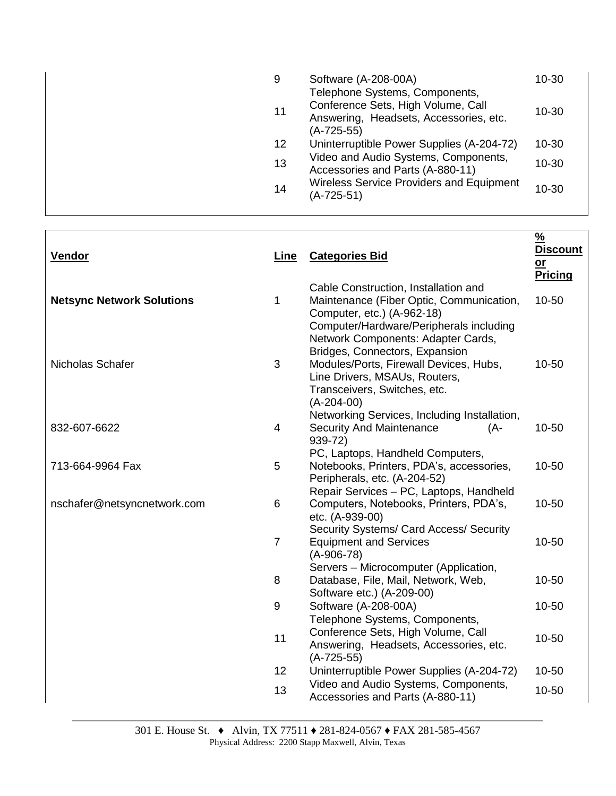| 9  | Software (A-208-00A)<br>Telephone Systems, Components,                                       | 10-30     |
|----|----------------------------------------------------------------------------------------------|-----------|
| 11 | Conference Sets, High Volume, Call<br>Answering, Headsets, Accessories, etc.<br>$(A-725-55)$ | 10-30     |
| 12 | Uninterruptible Power Supplies (A-204-72)                                                    | $10 - 30$ |
| 13 | Video and Audio Systems, Components,<br>Accessories and Parts (A-880-11)                     | 10-30     |
| 14 | <b>Wireless Service Providers and Equipment</b><br>$(A-725-51)$                              | 10-30     |
|    |                                                                                              |           |

| Vendor                           | Line                     | <b>Categories Bid</b>                                                                                                                                                                           | $\frac{9}{6}$<br><b>Discount</b><br>$or$<br><b>Pricing</b> |
|----------------------------------|--------------------------|-------------------------------------------------------------------------------------------------------------------------------------------------------------------------------------------------|------------------------------------------------------------|
| <b>Netsync Network Solutions</b> | 1                        | Cable Construction, Installation and<br>Maintenance (Fiber Optic, Communication,<br>Computer, etc.) (A-962-18)<br>Computer/Hardware/Peripherals including                                       | 10-50                                                      |
| Nicholas Schafer                 | 3                        | Network Components: Adapter Cards,<br>Bridges, Connectors, Expansion<br>Modules/Ports, Firewall Devices, Hubs,<br>Line Drivers, MSAUs, Routers,<br>Transceivers, Switches, etc.<br>$(A-204-00)$ | 10-50                                                      |
| 832-607-6622                     | $\overline{\mathcal{A}}$ | Networking Services, Including Installation,<br><b>Security And Maintenance</b><br>(A-<br>939-72)                                                                                               | 10-50                                                      |
| 713-664-9964 Fax                 | 5                        | PC, Laptops, Handheld Computers,<br>Notebooks, Printers, PDA's, accessories,<br>Peripherals, etc. (A-204-52)                                                                                    | 10-50                                                      |
| nschafer@netsyncnetwork.com      | 6                        | Repair Services - PC, Laptops, Handheld<br>Computers, Notebooks, Printers, PDA's,<br>etc. (A-939-00)                                                                                            | 10-50                                                      |
|                                  | $\overline{7}$           | Security Systems/ Card Access/ Security<br><b>Equipment and Services</b><br>$(A-906-78)$                                                                                                        | 10-50                                                      |
|                                  | 8                        | Servers - Microcomputer (Application,<br>Database, File, Mail, Network, Web,<br>Software etc.) (A-209-00)                                                                                       | $10 - 50$                                                  |
|                                  | $\boldsymbol{9}$         | Software (A-208-00A)                                                                                                                                                                            | 10-50                                                      |
|                                  | 11                       | Telephone Systems, Components,<br>Conference Sets, High Volume, Call<br>Answering, Headsets, Accessories, etc.<br>$(A-725-55)$                                                                  | 10-50                                                      |
|                                  | 12                       | Uninterruptible Power Supplies (A-204-72)                                                                                                                                                       | 10-50                                                      |
|                                  | 13                       | Video and Audio Systems, Components,<br>Accessories and Parts (A-880-11)                                                                                                                        | 10-50                                                      |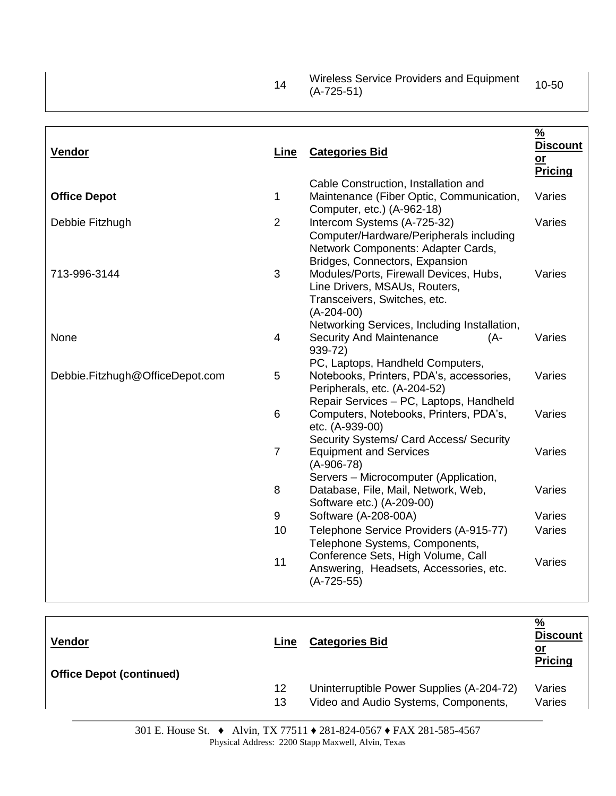| 14 | Wireless Service Providers and Equipment | 10-50 |
|----|------------------------------------------|-------|
|    | $(A-725-51)$                             |       |

| Vendor                          | Line           | <b>Categories Bid</b>                                                                                                                                                   | $\frac{9}{6}$<br><b>Discount</b><br>or<br><b>Pricing</b> |
|---------------------------------|----------------|-------------------------------------------------------------------------------------------------------------------------------------------------------------------------|----------------------------------------------------------|
| <b>Office Depot</b>             | 1              | Cable Construction, Installation and<br>Maintenance (Fiber Optic, Communication,<br>Computer, etc.) (A-962-18)                                                          | Varies                                                   |
| Debbie Fitzhugh                 | $\overline{2}$ | Intercom Systems (A-725-32)<br>Computer/Hardware/Peripherals including<br>Network Components: Adapter Cards,<br>Bridges, Connectors, Expansion                          | Varies                                                   |
| 713-996-3144                    | 3              | Modules/Ports, Firewall Devices, Hubs,<br>Line Drivers, MSAUs, Routers,<br>Transceivers, Switches, etc.<br>$(A-204-00)$<br>Networking Services, Including Installation, | Varies                                                   |
| None                            | 4              | <b>Security And Maintenance</b><br>(A-<br>939-72)<br>PC, Laptops, Handheld Computers,                                                                                   | Varies                                                   |
| Debbie.Fitzhugh@OfficeDepot.com | 5              | Notebooks, Printers, PDA's, accessories,<br>Peripherals, etc. (A-204-52)<br>Repair Services - PC, Laptops, Handheld                                                     | Varies                                                   |
|                                 | 6              | Computers, Notebooks, Printers, PDA's,<br>etc. (A-939-00)<br>Security Systems/ Card Access/ Security                                                                    | Varies                                                   |
|                                 | $\overline{7}$ | <b>Equipment and Services</b><br>$(A-906-78)$<br>Servers - Microcomputer (Application,                                                                                  | Varies                                                   |
|                                 | 8              | Database, File, Mail, Network, Web,<br>Software etc.) (A-209-00)                                                                                                        | Varies                                                   |
|                                 | 9              | Software (A-208-00A)                                                                                                                                                    | Varies                                                   |
|                                 | 10             | Telephone Service Providers (A-915-77)<br>Telephone Systems, Components,                                                                                                | Varies                                                   |
|                                 | 11             | Conference Sets, High Volume, Call<br>Answering, Headsets, Accessories, etc.<br>$(A-725-55)$                                                                            | Varies                                                   |

| <b>Vendor</b><br><b>Office Depot (continued)</b> | Line | <b>Categories Bid</b>                     | <u>%</u><br><b>Discount</b><br><u>or</u><br><b>Pricing</b> |
|--------------------------------------------------|------|-------------------------------------------|------------------------------------------------------------|
|                                                  | 12   | Uninterruptible Power Supplies (A-204-72) | Varies                                                     |
|                                                  | 13   | Video and Audio Systems, Components,      | Varies                                                     |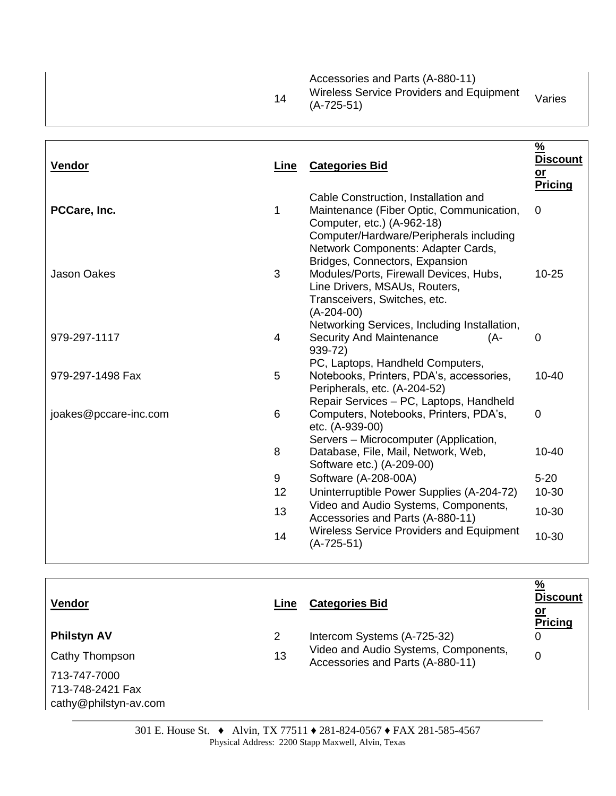|    | Accessories and Parts (A-880-11)         |        |
|----|------------------------------------------|--------|
| 14 | Wireless Service Providers and Equipment | Varies |
|    | $(A-725-51)$                             |        |

| Vendor                | Line | <b>Categories Bid</b>                                                                                                                                                                           | $\frac{9}{6}$<br><u>Discount</u><br>$or$<br>Pricing |
|-----------------------|------|-------------------------------------------------------------------------------------------------------------------------------------------------------------------------------------------------|-----------------------------------------------------|
| PCCare, Inc.          | 1    | Cable Construction, Installation and<br>Maintenance (Fiber Optic, Communication,<br>Computer, etc.) (A-962-18)<br>Computer/Hardware/Peripherals including                                       | 0                                                   |
| <b>Jason Oakes</b>    | 3    | Network Components: Adapter Cards,<br>Bridges, Connectors, Expansion<br>Modules/Ports, Firewall Devices, Hubs,<br>Line Drivers, MSAUs, Routers,<br>Transceivers, Switches, etc.<br>$(A-204-00)$ | $10 - 25$                                           |
| 979-297-1117          | 4    | Networking Services, Including Installation,<br><b>Security And Maintenance</b><br>(A-<br>939-72)                                                                                               | 0                                                   |
| 979-297-1498 Fax      | 5    | PC, Laptops, Handheld Computers,<br>Notebooks, Printers, PDA's, accessories,<br>Peripherals, etc. (A-204-52)<br>Repair Services - PC, Laptops, Handheld                                         | $10 - 40$                                           |
| joakes@pccare-inc.com | 6    | Computers, Notebooks, Printers, PDA's,<br>etc. (A-939-00)                                                                                                                                       | $\mathbf 0$                                         |
|                       | 8    | Servers - Microcomputer (Application,<br>Database, File, Mail, Network, Web,<br>Software etc.) (A-209-00)                                                                                       | $10 - 40$                                           |
|                       | 9    | Software (A-208-00A)                                                                                                                                                                            | $5 - 20$                                            |
|                       | 12   | Uninterruptible Power Supplies (A-204-72)                                                                                                                                                       | 10-30                                               |
|                       | 13   | Video and Audio Systems, Components,<br>Accessories and Parts (A-880-11)                                                                                                                        | 10-30                                               |
|                       | 14   | <b>Wireless Service Providers and Equipment</b><br>$(A-725-51)$                                                                                                                                 | 10-30                                               |

| Vendor                                                    | Line                  | <b>Categories Bid</b>                                                    | $\frac{9}{6}$<br><b>Discount</b><br><u>or</u><br><b>Pricing</b> |
|-----------------------------------------------------------|-----------------------|--------------------------------------------------------------------------|-----------------------------------------------------------------|
| <b>Philstyn AV</b>                                        | $\mathbf{2}^{\prime}$ | Intercom Systems (A-725-32)                                              | 0                                                               |
| Cathy Thompson                                            | 13                    | Video and Audio Systems, Components,<br>Accessories and Parts (A-880-11) | 0                                                               |
| 713-747-7000<br>713-748-2421 Fax<br>cathy@philstyn-av.com |                       |                                                                          |                                                                 |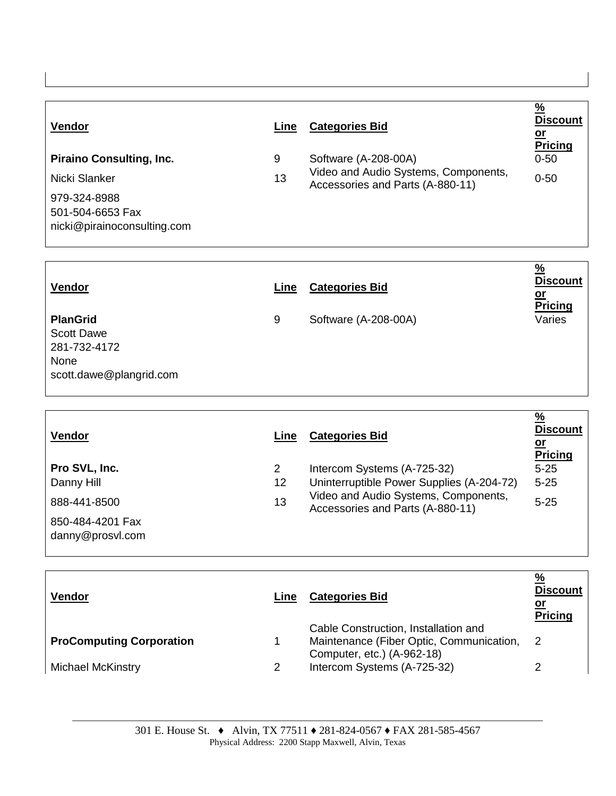| <b>Vendor</b>                                                   | Line | <b>Categories Bid</b>                                                    | $\frac{9}{6}$<br><b>Discount</b><br><u>or</u><br><b>Pricing</b> |
|-----------------------------------------------------------------|------|--------------------------------------------------------------------------|-----------------------------------------------------------------|
| <b>Piraino Consulting, Inc.</b>                                 | 9    | Software (A-208-00A)                                                     | $0 - 50$                                                        |
| Nicki Slanker                                                   | 13   | Video and Audio Systems, Components,<br>Accessories and Parts (A-880-11) | $0 - 50$                                                        |
| 979-324-8988<br>501-504-6653 Fax<br>nicki@pirainoconsulting.com |      |                                                                          |                                                                 |

| Vendor                                                                                  | Line | <b>Categories Bid</b> | <u>%</u><br><b>Discount</b><br><u>or</u><br><b>Pricing</b> |
|-----------------------------------------------------------------------------------------|------|-----------------------|------------------------------------------------------------|
| <b>PlanGrid</b><br><b>Scott Dawe</b><br>281-732-4172<br>None<br>scott.dawe@plangrid.com | 9    | Software (A-208-00A)  | Varies                                                     |

**%** 

| <b>Vendor</b>                        | Line | <b>Categories Bid</b>                                                    | $\frac{9}{6}$<br><b>Discount</b><br><u>or</u><br><b>Pricing</b> |
|--------------------------------------|------|--------------------------------------------------------------------------|-----------------------------------------------------------------|
| Pro SVL, Inc.                        | 2    | Intercom Systems (A-725-32)                                              | $5 - 25$                                                        |
| Danny Hill                           | 12   | Uninterruptible Power Supplies (A-204-72)                                | $5 - 25$                                                        |
| 888-441-8500                         | 13   | Video and Audio Systems, Components,<br>Accessories and Parts (A-880-11) | $5 - 25$                                                        |
| 850-484-4201 Fax<br>danny@prosvl.com |      |                                                                          |                                                                 |

| <b>Vendor</b>                   | Line | <b>Categories Bid</b>                                                                                          | $\frac{9}{6}$<br><b>Discount</b><br><u>or</u><br><b>Pricing</b> |
|---------------------------------|------|----------------------------------------------------------------------------------------------------------------|-----------------------------------------------------------------|
| <b>ProComputing Corporation</b> |      | Cable Construction, Installation and<br>Maintenance (Fiber Optic, Communication,<br>Computer, etc.) (A-962-18) | -2                                                              |
| Michael McKinstry               |      | Intercom Systems (A-725-32)                                                                                    |                                                                 |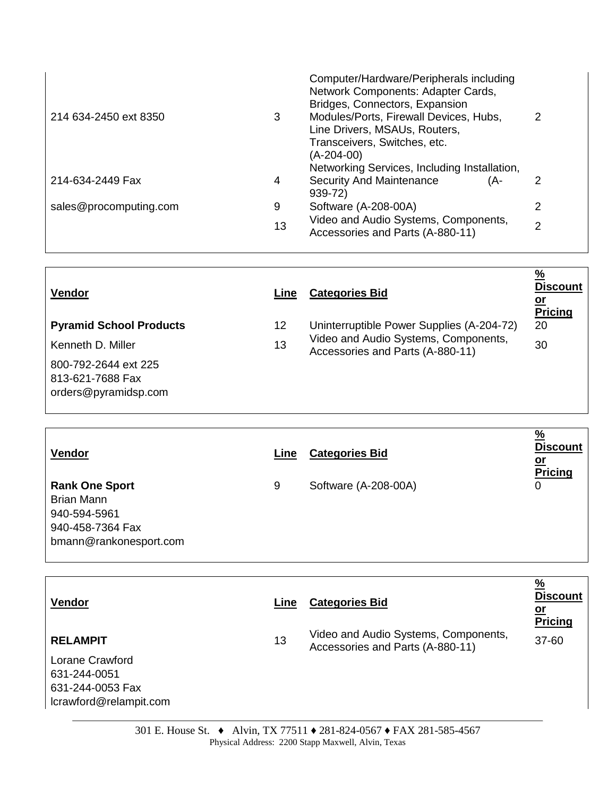| 214 634-2450 ext 8350  | 3  | Computer/Hardware/Peripherals including<br>Network Components: Adapter Cards,<br>Bridges, Connectors, Expansion<br>Modules/Ports, Firewall Devices, Hubs,<br>Line Drivers, MSAUs, Routers,<br>Transceivers, Switches, etc.<br>(A-204-00) | 2 |  |
|------------------------|----|------------------------------------------------------------------------------------------------------------------------------------------------------------------------------------------------------------------------------------------|---|--|
| 214-634-2449 Fax       | 4  | Networking Services, Including Installation,<br><b>Security And Maintenance</b><br>(A-                                                                                                                                                   | 2 |  |
|                        |    | 939-72)                                                                                                                                                                                                                                  |   |  |
| sales@procomputing.com | 9  | Software (A-208-00A)                                                                                                                                                                                                                     | 2 |  |
|                        | 13 | Video and Audio Systems, Components,<br>Accessories and Parts (A-880-11)                                                                                                                                                                 | っ |  |

| <b>Vendor</b>                            | Line | <b>Categories Bid</b>                                                    | $\frac{9}{6}$<br><b>Discount</b><br><u>or</u><br><b>Pricing</b> |
|------------------------------------------|------|--------------------------------------------------------------------------|-----------------------------------------------------------------|
| <b>Pyramid School Products</b>           | 12   | Uninterruptible Power Supplies (A-204-72)                                | 20                                                              |
| Kenneth D. Miller                        | 13   | Video and Audio Systems, Components,<br>Accessories and Parts (A-880-11) | 30                                                              |
| 800-792-2644 ext 225<br>813-621-7688 Fax |      |                                                                          |                                                                 |
| orders@pyramidsp.com                     |      |                                                                          |                                                                 |

| Vendor                                                                         | Line | <b>Categories Bid</b> | $\frac{9}{6}$<br><b>Discount</b><br><u>or</u><br><b>Pricing</b> |
|--------------------------------------------------------------------------------|------|-----------------------|-----------------------------------------------------------------|
| <b>Rank One Sport</b><br><b>Brian Mann</b><br>940-594-5961<br>940-458-7364 Fax | 9    | Software (A-208-00A)  | 0                                                               |
| bmann@rankonesport.com                                                         |      |                       |                                                                 |

| <b>Vendor</b>                                                                                    | Line | <b>Categories Bid</b>                                                    | $\frac{9}{6}$<br><u>Discount</u><br><u>or</u><br><b>Pricing</b> |
|--------------------------------------------------------------------------------------------------|------|--------------------------------------------------------------------------|-----------------------------------------------------------------|
| <b>RELAMPIT</b><br>Lorane Crawford<br>631-244-0051<br>631-244-0053 Fax<br>lcrawford@relampit.com | 13   | Video and Audio Systems, Components,<br>Accessories and Parts (A-880-11) | 37-60                                                           |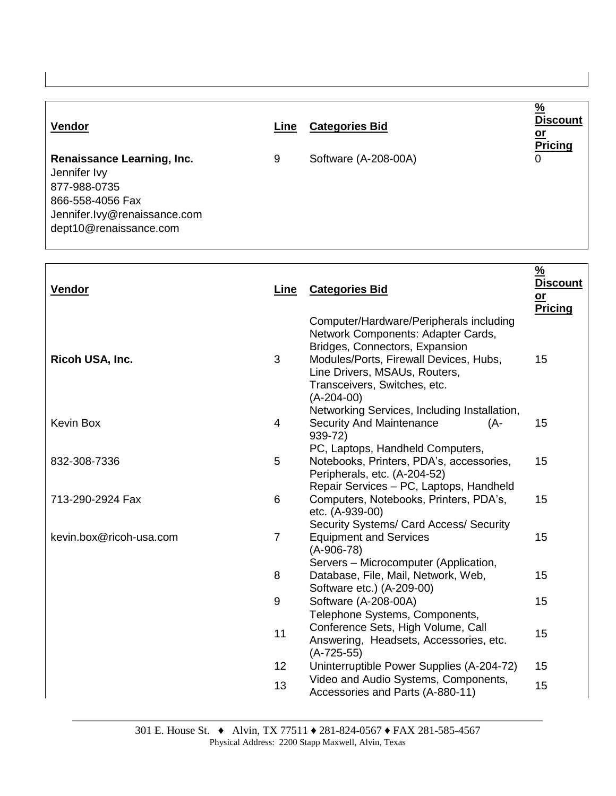| <b>Vendor</b>                                                                                                                            | Line | <b>Categories Bid</b> | $\frac{0}{0}$<br><b>Discount</b><br><u>or</u><br><b>Pricing</b> |
|------------------------------------------------------------------------------------------------------------------------------------------|------|-----------------------|-----------------------------------------------------------------|
| Renaissance Learning, Inc.<br>Jennifer Ivy<br>877-988-0735<br>866-558-4056 Fax<br>Jennifer.lvy@renaissance.com<br>dept10@renaissance.com | 9    | Software (A-208-00A)  | 0                                                               |

Г

| Vendor                  | <b>Line</b>    | <b>Categories Bid</b>                                                                                                                                                                                                                      | $\frac{9}{6}$<br><b>Discount</b><br>$o$<br><b>Pricing</b> |
|-------------------------|----------------|--------------------------------------------------------------------------------------------------------------------------------------------------------------------------------------------------------------------------------------------|-----------------------------------------------------------|
| Ricoh USA, Inc.         | 3              | Computer/Hardware/Peripherals including<br>Network Components: Adapter Cards,<br>Bridges, Connectors, Expansion<br>Modules/Ports, Firewall Devices, Hubs,<br>Line Drivers, MSAUs, Routers,<br>Transceivers, Switches, etc.<br>$(A-204-00)$ | 15                                                        |
| <b>Kevin Box</b>        | 4              | Networking Services, Including Installation,<br><b>Security And Maintenance</b><br>(A-<br>939-72)                                                                                                                                          | 15                                                        |
| 832-308-7336            | 5              | PC, Laptops, Handheld Computers,<br>Notebooks, Printers, PDA's, accessories,<br>Peripherals, etc. (A-204-52)                                                                                                                               | 15                                                        |
| 713-290-2924 Fax        | 6              | Repair Services - PC, Laptops, Handheld<br>Computers, Notebooks, Printers, PDA's,<br>etc. (A-939-00)                                                                                                                                       | 15                                                        |
| kevin.box@ricoh-usa.com | $\overline{7}$ | Security Systems/ Card Access/ Security<br><b>Equipment and Services</b><br>$(A-906-78)$                                                                                                                                                   | 15                                                        |
|                         | 8              | Servers - Microcomputer (Application,<br>Database, File, Mail, Network, Web,<br>Software etc.) (A-209-00)                                                                                                                                  | 15                                                        |
|                         | 9              | Software (A-208-00A)                                                                                                                                                                                                                       | 15                                                        |
|                         | 11             | Telephone Systems, Components,<br>Conference Sets, High Volume, Call<br>Answering, Headsets, Accessories, etc.<br>$(A-725-55)$                                                                                                             | 15                                                        |
|                         | 12             | Uninterruptible Power Supplies (A-204-72)                                                                                                                                                                                                  | 15                                                        |
|                         | 13             | Video and Audio Systems, Components,<br>Accessories and Parts (A-880-11)                                                                                                                                                                   | 15                                                        |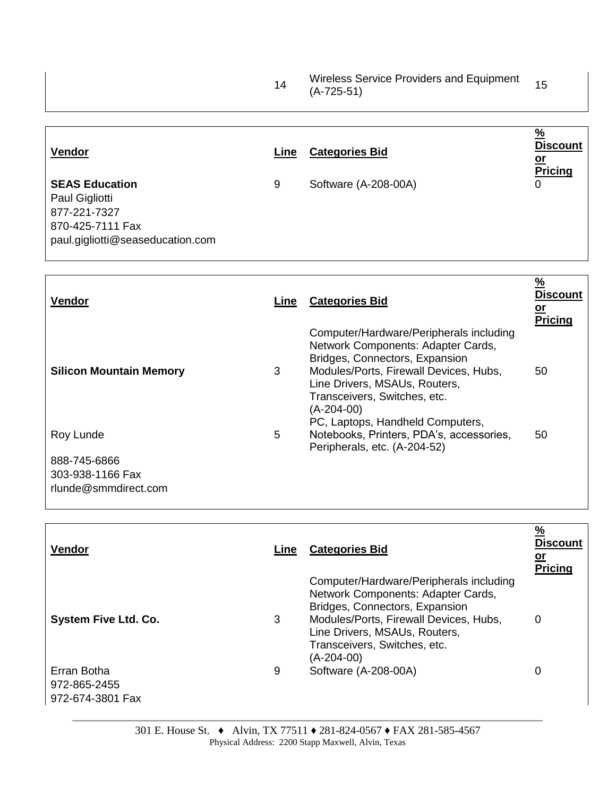|    | Wireless Service Providers and Equipment | 15 |
|----|------------------------------------------|----|
| 14 | $(A-725-51)$                             |    |

| Vendor                                                                                                          | Line | <b>Categories Bid</b> | $\frac{9}{6}$<br><b>Discount</b><br><u>or</u><br><b>Pricing</b> |
|-----------------------------------------------------------------------------------------------------------------|------|-----------------------|-----------------------------------------------------------------|
| <b>SEAS Education</b><br>Paul Gigliotti<br>877-221-7327<br>870-425-7111 Fax<br>paul.gigliotti@seaseducation.com | 9    | Software (A-208-00A)  | 0                                                               |

| <b>Vendor</b>                  | Line | <b>Categories Bid</b>                                                                                                                                                                                                                                                        | $\frac{9}{6}$<br><b>Discount</b><br><u>or</u><br><b>Pricing</b> |
|--------------------------------|------|------------------------------------------------------------------------------------------------------------------------------------------------------------------------------------------------------------------------------------------------------------------------------|-----------------------------------------------------------------|
| <b>Silicon Mountain Memory</b> | 3    | Computer/Hardware/Peripherals including<br>Network Components: Adapter Cards,<br>Bridges, Connectors, Expansion<br>Modules/Ports, Firewall Devices, Hubs,<br>Line Drivers, MSAUs, Routers,<br>Transceivers, Switches, etc.<br>(A-204-00)<br>PC, Laptops, Handheld Computers, | 50                                                              |
| Roy Lunde                      | 5    | Notebooks, Printers, PDA's, accessories,<br>Peripherals, etc. (A-204-52)                                                                                                                                                                                                     | 50                                                              |
| 888-745-6866                   |      |                                                                                                                                                                                                                                                                              |                                                                 |
| 303-938-1166 Fax               |      |                                                                                                                                                                                                                                                                              |                                                                 |
| rlunde@smmdirect.com           |      |                                                                                                                                                                                                                                                                              |                                                                 |

| <b>Vendor</b>                                   | Line | <b>Categories Bid</b>                                                                                                                                                                                                                      | $\frac{9}{6}$<br><b>Discount</b><br><u>or</u><br><b>Pricing</b> |
|-------------------------------------------------|------|--------------------------------------------------------------------------------------------------------------------------------------------------------------------------------------------------------------------------------------------|-----------------------------------------------------------------|
| <b>System Five Ltd. Co.</b>                     | 3    | Computer/Hardware/Peripherals including<br>Network Components: Adapter Cards,<br>Bridges, Connectors, Expansion<br>Modules/Ports, Firewall Devices, Hubs,<br>Line Drivers, MSAUs, Routers,<br>Transceivers, Switches, etc.<br>$(A-204-00)$ | 0                                                               |
| Erran Botha<br>972-865-2455<br>972-674-3801 Fax | 9    | Software (A-208-00A)                                                                                                                                                                                                                       | 0                                                               |

 $\Gamma$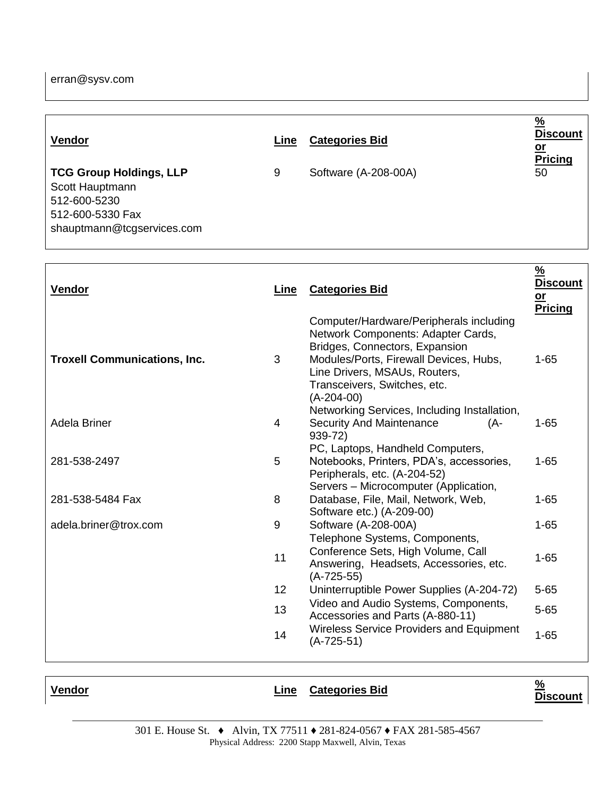| Vendor                                                                                                              | Line | <b>Categories Bid</b> | %<br><b>Discount</b><br><u>or</u><br><b>Pricing</b> |
|---------------------------------------------------------------------------------------------------------------------|------|-----------------------|-----------------------------------------------------|
| <b>TCG Group Holdings, LLP</b><br>Scott Hauptmann<br>512-600-5230<br>512-600-5330 Fax<br>shauptmann@tcgservices.com | 9    | Software (A-208-00A)  | 50                                                  |

| <b>Vendor</b>                       | Line | <b>Categories Bid</b>                                                                                                                                                                                                                      | $\frac{9}{6}$<br>Discount<br><u>or</u><br><b>Pricing</b> |
|-------------------------------------|------|--------------------------------------------------------------------------------------------------------------------------------------------------------------------------------------------------------------------------------------------|----------------------------------------------------------|
| <b>Troxell Communications, Inc.</b> | 3    | Computer/Hardware/Peripherals including<br>Network Components: Adapter Cards,<br>Bridges, Connectors, Expansion<br>Modules/Ports, Firewall Devices, Hubs,<br>Line Drivers, MSAUs, Routers,<br>Transceivers, Switches, etc.<br>$(A-204-00)$ | $1 - 65$                                                 |
| Adela Briner                        | 4    | Networking Services, Including Installation,<br><b>Security And Maintenance</b><br>(A-<br>939-72)                                                                                                                                          | $1 - 65$                                                 |
| 281-538-2497                        | 5    | PC, Laptops, Handheld Computers,<br>Notebooks, Printers, PDA's, accessories,<br>Peripherals, etc. (A-204-52)                                                                                                                               | $1 - 65$                                                 |
| 281-538-5484 Fax                    | 8    | Servers - Microcomputer (Application,<br>Database, File, Mail, Network, Web,<br>Software etc.) (A-209-00)                                                                                                                                  | $1 - 65$                                                 |
| adela.briner@trox.com               | 9    | Software (A-208-00A)                                                                                                                                                                                                                       | $1 - 65$                                                 |
|                                     | 11   | Telephone Systems, Components,<br>Conference Sets, High Volume, Call<br>Answering, Headsets, Accessories, etc.<br>$(A-725-55)$                                                                                                             | $1 - 65$                                                 |
|                                     | 12   | Uninterruptible Power Supplies (A-204-72)                                                                                                                                                                                                  | $5 - 65$                                                 |
|                                     | 13   | Video and Audio Systems, Components,<br>Accessories and Parts (A-880-11)                                                                                                                                                                   | $5 - 65$                                                 |
|                                     | 14   | <b>Wireless Service Providers and Equipment</b><br>$(A-725-51)$                                                                                                                                                                            | $1 - 65$                                                 |
|                                     |      |                                                                                                                                                                                                                                            |                                                          |

| Vendor | Line Categories Bid | %<br>Di: |
|--------|---------------------|----------|
|        |                     |          |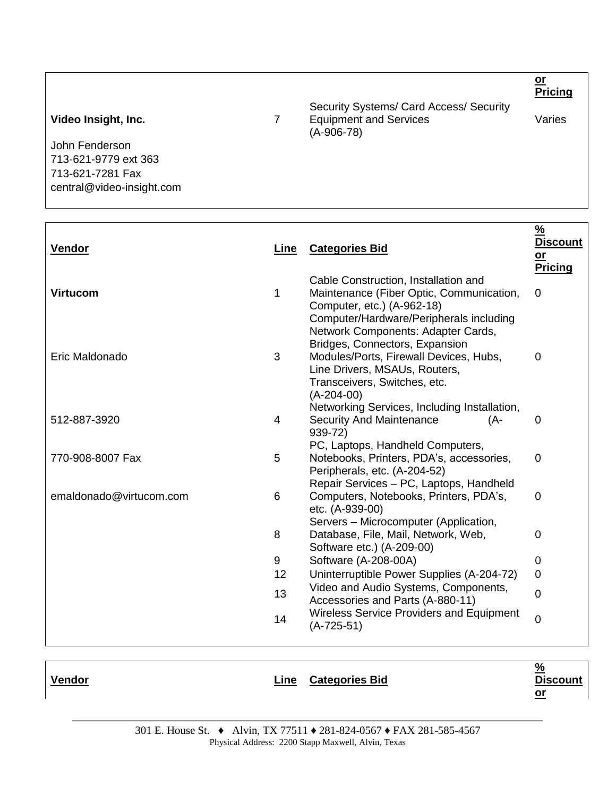**Pricing** Video Insight, Inc. 7 Security Systems/ Card Access/ Security Equipment and Services (A-906-78) Varies John Fenderson 713-621-9779 ext 363 713-621-7281 Fax central@video-insight.com

| <b>Vendor</b>           | Line | <b>Categories Bid</b>                                                                                                                                                           | $\frac{9}{6}$<br><b>Discount</b><br>$or$<br>Pricing |
|-------------------------|------|---------------------------------------------------------------------------------------------------------------------------------------------------------------------------------|-----------------------------------------------------|
| <b>Virtucom</b>         | 1    | Cable Construction, Installation and<br>Maintenance (Fiber Optic, Communication,<br>Computer, etc.) (A-962-18)<br>Computer/Hardware/Peripherals including                       | $\Omega$                                            |
| Eric Maldonado          | 3    | Network Components: Adapter Cards,<br>Bridges, Connectors, Expansion<br>Modules/Ports, Firewall Devices, Hubs,<br>Line Drivers, MSAUs, Routers,<br>Transceivers, Switches, etc. | 0                                                   |
| 512-887-3920            | 4    | $(A-204-00)$<br>Networking Services, Including Installation,<br><b>Security And Maintenance</b><br>(A-<br>939-72)                                                               | 0                                                   |
| 770-908-8007 Fax        | 5    | PC, Laptops, Handheld Computers,<br>Notebooks, Printers, PDA's, accessories,<br>Peripherals, etc. (A-204-52)                                                                    | $\mathbf 0$                                         |
| emaldonado@virtucom.com | 6    | Repair Services - PC, Laptops, Handheld<br>Computers, Notebooks, Printers, PDA's,<br>etc. (A-939-00)                                                                            | 0                                                   |
|                         | 8    | Servers - Microcomputer (Application,<br>Database, File, Mail, Network, Web,<br>Software etc.) (A-209-00)                                                                       | $\overline{0}$                                      |
|                         | 9    | Software (A-208-00A)                                                                                                                                                            | $\mathbf 0$                                         |
|                         | 12   | Uninterruptible Power Supplies (A-204-72)                                                                                                                                       | $\Omega$                                            |
|                         | 13   | Video and Audio Systems, Components,<br>Accessories and Parts (A-880-11)                                                                                                        | $\mathbf 0$                                         |
|                         | 14   | <b>Wireless Service Providers and Equipment</b><br>(A-725-51)                                                                                                                   | $\overline{0}$                                      |

**Vendor Line Categories Bid**

**% Discount or** 

**or**